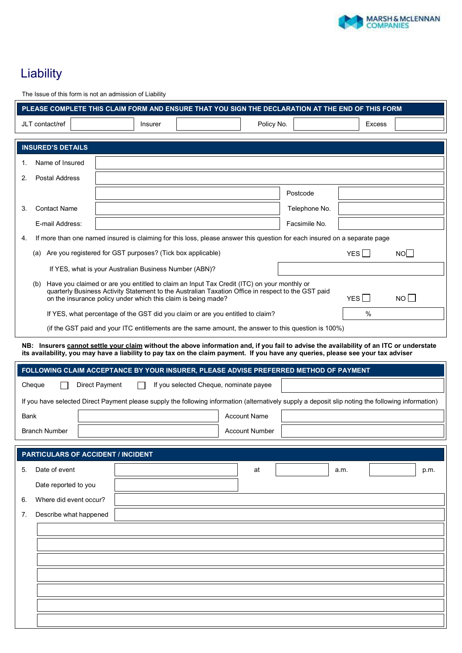

## Liability **Claim Form <b>Form Form**

| PLEASE COMPLETE THIS CLAIM FORM AND ENSURE THAT YOU SIGN THE DECLARATION AT THE END OF THIS FORM                                                                                                                                                                                             |                                                                                                                                                                                                                                                                             |                                        |                       |               |      |               |      |
|----------------------------------------------------------------------------------------------------------------------------------------------------------------------------------------------------------------------------------------------------------------------------------------------|-----------------------------------------------------------------------------------------------------------------------------------------------------------------------------------------------------------------------------------------------------------------------------|----------------------------------------|-----------------------|---------------|------|---------------|------|
| JLT contact/ref                                                                                                                                                                                                                                                                              | <b>Insurer</b>                                                                                                                                                                                                                                                              |                                        | Policy No.            |               |      | <b>Excess</b> |      |
| <b>INSURED'S DETAILS</b>                                                                                                                                                                                                                                                                     |                                                                                                                                                                                                                                                                             |                                        |                       |               |      |               |      |
| Name of Insured<br>1.                                                                                                                                                                                                                                                                        |                                                                                                                                                                                                                                                                             |                                        |                       |               |      |               |      |
| Postal Address<br>2.                                                                                                                                                                                                                                                                         |                                                                                                                                                                                                                                                                             |                                        |                       |               |      |               |      |
|                                                                                                                                                                                                                                                                                              |                                                                                                                                                                                                                                                                             |                                        |                       | Postcode      |      |               |      |
| <b>Contact Name</b><br>3.                                                                                                                                                                                                                                                                    |                                                                                                                                                                                                                                                                             |                                        |                       | Telephone No. |      |               |      |
| E-mail Address:                                                                                                                                                                                                                                                                              |                                                                                                                                                                                                                                                                             |                                        |                       | Facsimile No. |      |               |      |
| 4.                                                                                                                                                                                                                                                                                           | If more than one named insured is claiming for this loss, please answer this question for each insured on a separate page                                                                                                                                                   |                                        |                       |               |      |               |      |
|                                                                                                                                                                                                                                                                                              | (a) Are you registered for GST purposes? (Tick box applicable)                                                                                                                                                                                                              |                                        |                       |               | YES  |               | NO   |
|                                                                                                                                                                                                                                                                                              | If YES, what is your Australian Business Number (ABN)?                                                                                                                                                                                                                      |                                        |                       |               |      |               |      |
| Have you claimed or are you entitled to claim an Input Tax Credit (ITC) on your monthly or<br>(b)<br>quarterly Business Activity Statement to the Australian Taxation Office in respect to the GST paid<br>YES    <br>NO II<br>on the insurance policy under which this claim is being made? |                                                                                                                                                                                                                                                                             |                                        |                       |               |      |               |      |
|                                                                                                                                                                                                                                                                                              | If YES, what percentage of the GST did you claim or are you entitled to claim?                                                                                                                                                                                              |                                        |                       |               | $\%$ |               |      |
|                                                                                                                                                                                                                                                                                              | (if the GST paid and your ITC entitlements are the same amount, the answer to this question is 100%)                                                                                                                                                                        |                                        |                       |               |      |               |      |
|                                                                                                                                                                                                                                                                                              | NB: Insurers cannot settle your claim without the above information and, if you fail to advise the availability of an ITC or understate<br>its availability, you may have a liability to pay tax on the claim payment. If you have any queries, please see your tax adviser |                                        |                       |               |      |               |      |
|                                                                                                                                                                                                                                                                                              | FOLLOWING CLAIM ACCEPTANCE BY YOUR INSURER, PLEASE ADVISE PREFERRED METHOD OF PAYMENT                                                                                                                                                                                       |                                        |                       |               |      |               |      |
| Cheque                                                                                                                                                                                                                                                                                       | <b>Direct Payment</b>                                                                                                                                                                                                                                                       | If you selected Cheque, nominate payee |                       |               |      |               |      |
|                                                                                                                                                                                                                                                                                              | If you have selected Direct Payment please supply the following information (alternatively supply a deposit slip noting the following information)                                                                                                                          |                                        |                       |               |      |               |      |
| Bank                                                                                                                                                                                                                                                                                         |                                                                                                                                                                                                                                                                             |                                        | <b>Account Name</b>   |               |      |               |      |
| <b>Branch Number</b>                                                                                                                                                                                                                                                                         |                                                                                                                                                                                                                                                                             |                                        | <b>Account Number</b> |               |      |               |      |
| <b>PARTICULARS OF ACCIDENT / INCIDENT</b>                                                                                                                                                                                                                                                    |                                                                                                                                                                                                                                                                             |                                        |                       |               |      |               |      |
| Date of event<br>5.                                                                                                                                                                                                                                                                          |                                                                                                                                                                                                                                                                             |                                        | at                    |               | a.m. |               | p.m. |
| Date reported to you                                                                                                                                                                                                                                                                         |                                                                                                                                                                                                                                                                             |                                        |                       |               |      |               |      |
| Where did event occur?<br>6.                                                                                                                                                                                                                                                                 |                                                                                                                                                                                                                                                                             |                                        |                       |               |      |               |      |
| Describe what happened<br>7.                                                                                                                                                                                                                                                                 |                                                                                                                                                                                                                                                                             |                                        |                       |               |      |               |      |
|                                                                                                                                                                                                                                                                                              |                                                                                                                                                                                                                                                                             |                                        |                       |               |      |               |      |
|                                                                                                                                                                                                                                                                                              |                                                                                                                                                                                                                                                                             |                                        |                       |               |      |               |      |
|                                                                                                                                                                                                                                                                                              |                                                                                                                                                                                                                                                                             |                                        |                       |               |      |               |      |
|                                                                                                                                                                                                                                                                                              |                                                                                                                                                                                                                                                                             |                                        |                       |               |      |               |      |
|                                                                                                                                                                                                                                                                                              |                                                                                                                                                                                                                                                                             |                                        |                       |               |      |               |      |
|                                                                                                                                                                                                                                                                                              |                                                                                                                                                                                                                                                                             |                                        |                       |               |      |               |      |
|                                                                                                                                                                                                                                                                                              |                                                                                                                                                                                                                                                                             |                                        |                       |               |      |               |      |

The Issue of this form is not an admission of Liability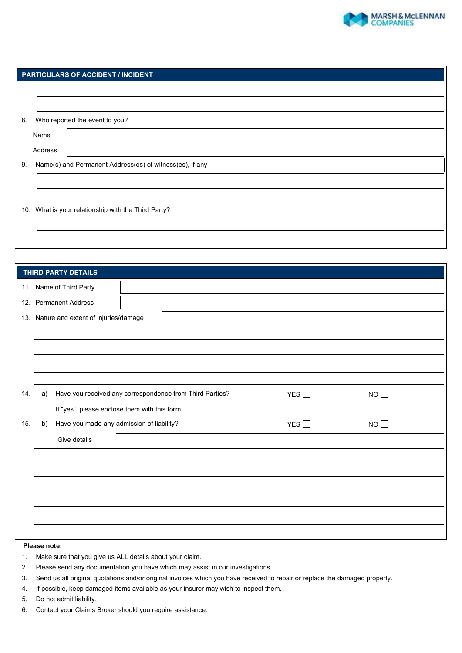

| <b>PARTICULARS OF ACCIDENT / INCIDENT</b>           |                                                          |  |  |  |
|-----------------------------------------------------|----------------------------------------------------------|--|--|--|
|                                                     |                                                          |  |  |  |
|                                                     |                                                          |  |  |  |
| 8.                                                  | Who reported the event to you?                           |  |  |  |
|                                                     | Name                                                     |  |  |  |
|                                                     | Address                                                  |  |  |  |
| 9.                                                  | Name(s) and Permanent Address(es) of witness(es), if any |  |  |  |
|                                                     |                                                          |  |  |  |
|                                                     |                                                          |  |  |  |
| 10. What is your relationship with the Third Party? |                                                          |  |  |  |
|                                                     |                                                          |  |  |  |
|                                                     |                                                          |  |  |  |

| THIRD PARTY DETAILS                      |                                                          |            |    |  |
|------------------------------------------|----------------------------------------------------------|------------|----|--|
| 11. Name of Third Party                  |                                                          |            |    |  |
| 12. Permanent Address                    |                                                          |            |    |  |
| 13. Nature and extent of injuries/damage |                                                          |            |    |  |
|                                          |                                                          |            |    |  |
|                                          |                                                          |            |    |  |
|                                          |                                                          |            |    |  |
|                                          |                                                          |            |    |  |
| 14.<br>a)                                | Have you received any correspondence from Third Parties? | YES $\Box$ | NO |  |
|                                          | If "yes", please enclose them with this form             |            |    |  |
| 15.<br>b)                                | Have you made any admission of liability?                | YES $\Box$ | NO |  |
| Give details                             |                                                          |            |    |  |
|                                          |                                                          |            |    |  |
|                                          |                                                          |            |    |  |
|                                          |                                                          |            |    |  |
|                                          |                                                          |            |    |  |
|                                          |                                                          |            |    |  |
|                                          |                                                          |            |    |  |

## **Please note:**

- 1. Make sure that you give us ALL details about your claim.
- 2. Please send any documentation you have which may assist in our investigations.
- 3. Send us all original quotations and/or original invoices which you have received to repair or replace the damaged property.
- 4. If possible, keep damaged items available as your insurer may wish to inspect them.
- 5. Do not admit liability.
- 6. Contact your Claims Broker should you require assistance.